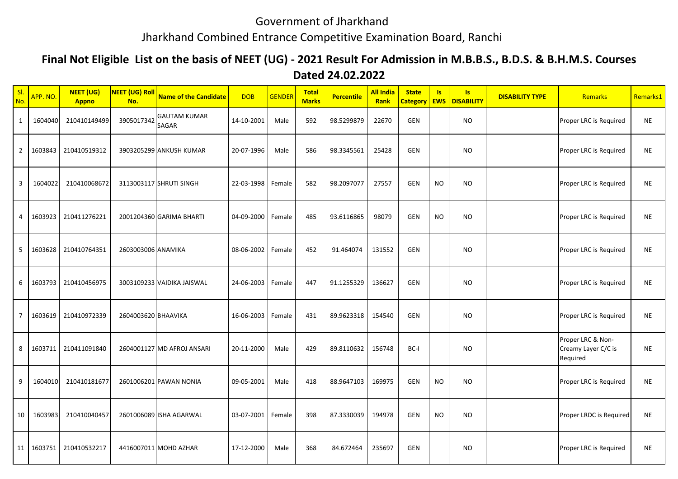## Government of Jharkhand

## Jharkhand Combined Entrance Competitive Examination Board, Ranchi

## **Final Not Eligible List on the basis of NEET (UG) - 2021 Result For Admission in M.B.B.S., B.D.S. & B.H.M.S. Courses**

## **Dated 24.02.2022**

| SI.<br>No.     | APP. NO.   | <b>NEET (UG)</b><br><b>Appno</b> | <mark>NEET (UG) Roll</mark><br>No. | <b>Name of the Candidate</b>        | <b>DOB</b>        | GENDER | <b>Total</b><br><b>Marks</b> | <b>Percentile</b> | <b>All India</b><br>Rank | <b>State</b><br><b>Category EWS</b> | Is        | $\overline{\mathsf{S}}$<br><b>DISABILITY</b> | <b>DISABILITY TYPE</b> | Remarks                                              | Remarks1  |
|----------------|------------|----------------------------------|------------------------------------|-------------------------------------|-------------------|--------|------------------------------|-------------------|--------------------------|-------------------------------------|-----------|----------------------------------------------|------------------------|------------------------------------------------------|-----------|
| 1              | 1604040    | 210410149499                     | 3905017342                         | <b>GAUTAM KUMAR</b><br><b>SAGAR</b> | 14-10-2001        | Male   | 592                          | 98.5299879        | 22670                    | GEN                                 |           | <b>NO</b>                                    |                        | Proper LRC is Required                               | <b>NE</b> |
| $\overline{2}$ | 1603843    | 210410519312                     |                                    | 3903205299 ANKUSH KUMAR             | 20-07-1996        | Male   | 586                          | 98.3345561        | 25428                    | <b>GEN</b>                          |           | <b>NO</b>                                    |                        | Proper LRC is Required                               | <b>NE</b> |
| 3              | 1604022    | 210410068672                     |                                    | 3113003117 SHRUTI SINGH             | 22-03-1998        | Female | 582                          | 98.2097077        | 27557                    | GEN                                 | <b>NO</b> | <b>NO</b>                                    |                        | Proper LRC is Required                               | <b>NE</b> |
| 4              | 1603923    | 210411276221                     |                                    | 2001204360 GARIMA BHARTI            | 04-09-2000        | Female | 485                          | 93.6116865        | 98079                    | GEN                                 | <b>NO</b> | <b>NO</b>                                    |                        | Proper LRC is Required                               | <b>NE</b> |
| 5              | 1603628    | 210410764351                     | 2603003006 ANAMIKA                 |                                     | 08-06-2002        | Female | 452                          | 91.464074         | 131552                   | <b>GEN</b>                          |           | <b>NO</b>                                    |                        | Proper LRC is Required                               | <b>NE</b> |
| 6              | 1603793    | 210410456975                     |                                    | 3003109233 VAIDIKA JAISWAL          | 24-06-2003        | Female | 447                          | 91.1255329        | 136627                   | <b>GEN</b>                          |           | <b>NO</b>                                    |                        | Proper LRC is Required                               | <b>NE</b> |
| $\overline{7}$ | 1603619    | 210410972339                     | 2604003620 BHAAVIKA                |                                     | 16-06-2003 Female |        | 431                          | 89.9623318        | 154540                   | <b>GEN</b>                          |           | <b>NO</b>                                    |                        | Proper LRC is Required                               | <b>NE</b> |
| 8              | 1603711    | 210411091840                     |                                    | 2604001127 MD AFROJ ANSARI          | 20-11-2000        | Male   | 429                          | 89.8110632        | 156748                   | BC-I                                |           | <b>NO</b>                                    |                        | Proper LRC & Non-<br>Creamy Layer C/C is<br>Required | <b>NE</b> |
| 9              | 1604010    | 210410181677                     |                                    | 2601006201 PAWAN NONIA              | 09-05-2001        | Male   | 418                          | 88.9647103        | 169975                   | GEN                                 | <b>NO</b> | <b>NO</b>                                    |                        | Proper LRC is Required                               | <b>NE</b> |
| 10             | 1603983    | 210410040457                     |                                    | 2601006089 ISHA AGARWAL             | 03-07-2001        | Female | 398                          | 87.3330039        | 194978                   | <b>GEN</b>                          | <b>NO</b> | <b>NO</b>                                    |                        | Proper LRDC is Required                              | <b>NE</b> |
|                | 11 1603751 | 210410532217                     |                                    | 4416007011 MOHD AZHAR               | 17-12-2000        | Male   | 368                          | 84.672464         | 235697                   | <b>GEN</b>                          |           | <b>NO</b>                                    |                        | Proper LRC is Required                               | <b>NE</b> |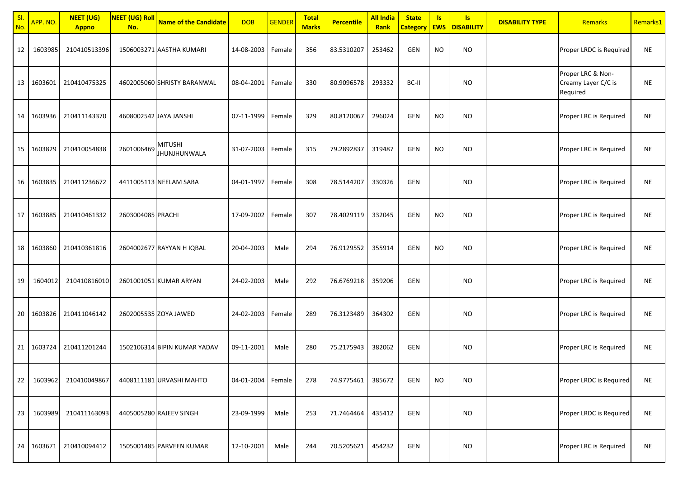| SI.<br>No. | APP. NO. | <b>NEET (UG)</b><br><b>Appno</b> | NEET (UG) Roll<br>No. | <b>Name of the Candidate</b>          | <b>DOB</b>        | <b>GENDER</b> | <b>Total</b><br><b>Marks</b> | <b>Percentile</b> | <b>All India</b><br><b>Rank</b> | <b>State</b><br><b>Category</b> | <b>Is</b><br><b>EWS</b> | s <br><b>DISABILITY</b> | <b>DISABILITY TYPE</b> | <b>Remarks</b>                                       | Remarks1  |
|------------|----------|----------------------------------|-----------------------|---------------------------------------|-------------------|---------------|------------------------------|-------------------|---------------------------------|---------------------------------|-------------------------|-------------------------|------------------------|------------------------------------------------------|-----------|
| 12         | 1603985  | 210410513396                     |                       | 1506003271 AASTHA KUMARI              | 14-08-2003 Female |               | 356                          | 83.5310207        | 253462                          | GEN                             | <b>NO</b>               | <b>NO</b>               |                        | Proper LRDC is Required                              | <b>NE</b> |
| 13         | 1603601  | 210410475325                     |                       | 4602005060 SHRISTY BARANWAL           | 08-04-2001        | Female        | 330                          | 80.9096578        | 293332                          | BC-II                           |                         | <b>NO</b>               |                        | Proper LRC & Non-<br>Creamy Layer C/C is<br>Required | <b>NE</b> |
| 14         | 1603936  | 210411143370                     |                       | 4608002542 JAYA JANSHI                | 07-11-1999 Female |               | 329                          | 80.8120067        | 296024                          | GEN                             | <b>NO</b>               | <b>NO</b>               |                        | Proper LRC is Required                               | <b>NE</b> |
| 15         | 1603829  | 210410054838                     | 2601006469            | <b>MITUSHI</b><br><b>JHUNJHUNWALA</b> | 31-07-2003        | Female        | 315                          | 79.2892837        | 319487                          | GEN                             | <b>NO</b>               | <b>NO</b>               |                        | Proper LRC is Required                               | <b>NE</b> |
| 16         | 1603835  | 210411236672                     |                       | 4411005113 NEELAM SABA                | 04-01-1997 Female |               | 308                          | 78.5144207        | 330326                          | GEN                             |                         | NO.                     |                        | Proper LRC is Required                               | NE        |
| 17         | 1603885  | 210410461332                     | 2603004085 PRACHI     |                                       | 17-09-2002        | Female        | 307                          | 78.4029119        | 332045                          | GEN                             | <b>NO</b>               | <b>NO</b>               |                        | Proper LRC is Required                               | <b>NE</b> |
| 18         | 1603860  | 210410361816                     |                       | 2604002677 RAYYAN H IQBAL             | 20-04-2003        | Male          | 294                          | 76.9129552        | 355914                          | GEN                             | <b>NO</b>               | <b>NO</b>               |                        | Proper LRC is Required                               | <b>NE</b> |
| 19         | 1604012  | 210410816010                     |                       | 2601001051 KUMAR ARYAN                | 24-02-2003        | Male          | 292                          | 76.6769218        | 359206                          | GEN                             |                         | <b>NO</b>               |                        | Proper LRC is Required                               | <b>NE</b> |
| 20         | 1603826  | 210411046142                     |                       | 2602005535 ZOYA JAWED                 | 24-02-2003        | Female        | 289                          | 76.3123489        | 364302                          | GEN                             |                         | <b>NO</b>               |                        | Proper LRC is Required                               | <b>NE</b> |
| 21         | 1603724  | 210411201244                     |                       | 1502106314 BIPIN KUMAR YADAV          | 09-11-2001        | Male          | 280                          | 75.2175943        | 382062                          | GEN                             |                         | NO.                     |                        | Proper LRC is Required                               | NE        |
| 22         | 1603962  | 210410049867                     |                       | 4408111181 URVASHI MAHTO              | 04-01-2004 Female |               | 278                          | 74.9775461        | 385672                          | GEN                             | <b>NO</b>               | <b>NO</b>               |                        | Proper LRDC is Required                              | <b>NE</b> |
| 23         | 1603989  | 210411163093                     |                       | 4405005280 RAJEEV SINGH               | 23-09-1999        | Male          | 253                          | 71.7464464        | 435412                          | GEN                             |                         | <b>NO</b>               |                        | Proper LRDC is Required                              | <b>NE</b> |
| 24         | 1603671  | 210410094412                     |                       | 1505001485 PARVEEN KUMAR              | 12-10-2001        | Male          | 244                          | 70.5205621        | 454232                          | GEN                             |                         | <b>NO</b>               |                        | Proper LRC is Required                               | <b>NE</b> |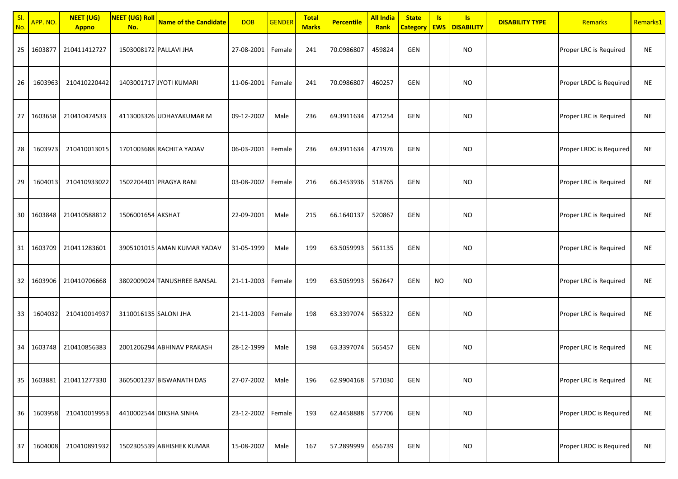| SI.<br>No. | APP. NO. | <b>NEET (UG)</b><br><b>Appno</b> | <b>NEET (UG) Roll</b><br>No. | <b>Name of the Candidate</b> | <b>DOB</b>        | <b>GENDER</b> | <b>Total</b><br><b>Marks</b> | <b>Percentile</b> | <b>All India</b><br>Rank | <b>State</b><br><b>Category EWS</b> | Is. | Is.<br><b>DISABILITY</b> | <b>DISABILITY TYPE</b> | Remarks                 | Remarks1  |
|------------|----------|----------------------------------|------------------------------|------------------------------|-------------------|---------------|------------------------------|-------------------|--------------------------|-------------------------------------|-----|--------------------------|------------------------|-------------------------|-----------|
| 25         | 1603877  | 210411412727                     |                              | 1503008172 PALLAVI JHA       | 27-08-2001 Female |               | 241                          | 70.0986807        | 459824                   | GEN                                 |     | <b>NO</b>                |                        | Proper LRC is Required  | NE        |
| 26         | 1603963  | 210410220442                     |                              | 1403001717 JYOTI KUMARI      | 11-06-2001 Female |               | 241                          | 70.0986807        | 460257                   | GEN                                 |     | <b>NO</b>                |                        | Proper LRDC is Required | <b>NE</b> |
| 27         | 1603658  | 210410474533                     |                              | 4113003326 UDHAYAKUMAR M     | 09-12-2002        | Male          | 236                          | 69.3911634        | 471254                   | GEN                                 |     | <b>NO</b>                |                        | Proper LRC is Required  | <b>NE</b> |
| 28         | 1603973  | 210410013015                     |                              | 1701003688 RACHITA YADAV     | 06-03-2001 Female |               | 236                          | 69.3911634        | 471976                   | GEN                                 |     | <b>NO</b>                |                        | Proper LRDC is Required | <b>NE</b> |
| 29         | 1604013  | 210410933022                     |                              | 1502204401 PRAGYA RANI       | 03-08-2002 Female |               | 216                          | 66.3453936        | 518765                   | GEN                                 |     | <b>NO</b>                |                        | Proper LRC is Required  | <b>NE</b> |
| 30         | 1603848  | 210410588812                     | 1506001654 AKSHAT            |                              | 22-09-2001        | Male          | 215                          | 66.1640137        | 520867                   | GEN                                 |     | <b>NO</b>                |                        | Proper LRC is Required  | <b>NE</b> |
| 31         | 1603709  | 210411283601                     |                              | 3905101015 AMAN KUMAR YADAV  | 31-05-1999        | Male          | 199                          | 63.5059993        | 561135                   | GEN                                 |     | <b>NO</b>                |                        | Proper LRC is Required  | <b>NE</b> |
| 32         | 1603906  | 210410706668                     |                              | 3802009024 TANUSHREE BANSAL  | 21-11-2003 Female |               | 199                          | 63.5059993        | 562647                   | GEN                                 | NO. | NO.                      |                        | Proper LRC is Required  | <b>NE</b> |
| 33         | 1604032  | 210410014937                     | 3110016135 SALONI JHA        |                              | 21-11-2003 Female |               | 198                          | 63.3397074        | 565322                   | GEN                                 |     | <b>NO</b>                |                        | Proper LRC is Required  | <b>NE</b> |
| 34         | 1603748  | 210410856383                     |                              | 2001206294 ABHINAV PRAKASH   | 28-12-1999        | Male          | 198                          | 63.3397074        | 565457                   | GEN                                 |     | <b>NO</b>                |                        | Proper LRC is Required  | <b>NE</b> |
| 35         | 1603881  | 210411277330                     |                              | 3605001237 BISWANATH DAS     | 27-07-2002        | Male          | 196                          | 62.9904168        | 571030                   | GEN                                 |     | <b>NO</b>                |                        | Proper LRC is Required  | <b>NE</b> |
| 36         | 1603958  | 210410019953                     |                              | 4410002544 DIKSHA SINHA      | 23-12-2002 Female |               | 193                          | 62.4458888        | 577706                   | GEN                                 |     | <b>NO</b>                |                        | Proper LRDC is Required | <b>NE</b> |
| 37         | 1604008  | 210410891932                     |                              | 1502305539 ABHISHEK KUMAR    | 15-08-2002        | Male          | 167                          | 57.2899999        | 656739                   | GEN                                 |     | <b>NO</b>                |                        | Proper LRDC is Required | <b>NE</b> |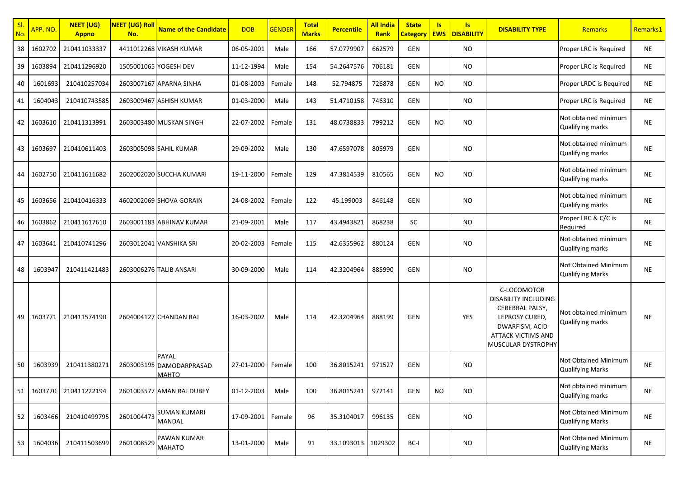| SI.<br>No. | APP. NO. | <b>NEET (UG)</b><br><b>Appno</b> | NEET (UG) Roll<br>No. | <b>Name of the Candidate</b>                             | <b>DOB</b> | <b>GENDER</b> | <b>Total</b><br><b>Marks</b> | <b>Percentile</b> | <b>All India</b><br><b>Rank</b> | <b>State</b><br><b>Category</b> | <b>Is</b><br><b>EWS</b> | Is.<br><b>DISABILITY</b> | <b>DISABILITY TYPE</b>                                                                                                                               | <b>Remarks</b>                                  | Remarks1  |
|------------|----------|----------------------------------|-----------------------|----------------------------------------------------------|------------|---------------|------------------------------|-------------------|---------------------------------|---------------------------------|-------------------------|--------------------------|------------------------------------------------------------------------------------------------------------------------------------------------------|-------------------------------------------------|-----------|
| 38         | 1602702  | 210411033337                     |                       | 4411012268 VIKASH KUMAR                                  | 06-05-2001 | Male          | 166                          | 57.0779907        | 662579                          | GEN                             |                         | NO.                      |                                                                                                                                                      | Proper LRC is Required                          | <b>NE</b> |
| 39         | 1603894  | 210411296920                     |                       | 1505001065 YOGESH DEV                                    | 11-12-1994 | Male          | 154                          | 54.2647576        | 706181                          | GEN                             |                         | <b>NO</b>                |                                                                                                                                                      | Proper LRC is Required                          | NE        |
| 40         | 1601693  | 210410257034                     |                       | 2603007167 APARNA SINHA                                  | 01-08-2003 | Female        | 148                          | 52.794875         | 726878                          | GEN                             | <b>NO</b>               | <b>NO</b>                |                                                                                                                                                      | Proper LRDC is Required                         | <b>NE</b> |
| 41         | 1604043  | 210410743585                     |                       | 2603009467 ASHISH KUMAR                                  | 01-03-2000 | Male          | 143                          | 51.4710158        | 746310                          | GEN                             |                         | NO.                      |                                                                                                                                                      | Proper LRC is Required                          | <b>NE</b> |
| 42         | 1603610  | 210411313991                     |                       | 2603003480 MUSKAN SINGH                                  | 22-07-2002 | Female        | 131                          | 48.0738833        | 799212                          | GEN                             | <b>NO</b>               | NO.                      |                                                                                                                                                      | Not obtained minimum<br>Qualifying marks        | NE        |
| 43         | 1603697  | 210410611403                     |                       | 2603005098 SAHIL KUMAR                                   | 29-09-2002 | Male          | 130                          | 47.6597078        | 805979                          | GEN                             |                         | NO.                      |                                                                                                                                                      | Not obtained minimum<br>Qualifying marks        | NE        |
| 44         | 1602750  | 210411611682                     |                       | 2602002020 SUCCHA KUMARI                                 | 19-11-2000 | Female        | 129                          | 47.3814539        | 810565                          | GEN                             | NO                      | NO.                      |                                                                                                                                                      | Not obtained minimum<br>Qualifying marks        | <b>NE</b> |
| 45         | 1603656  | 210410416333                     |                       | 4602002069 SHOVA GORAIN                                  | 24-08-2002 | Female        | 122                          | 45.199003         | 846148                          | GEN                             |                         | <b>NO</b>                |                                                                                                                                                      | Not obtained minimum<br><b>Qualifying marks</b> | <b>NE</b> |
| 46         | 1603862  | 210411617610                     |                       | 2603001183 ABHINAV KUMAR                                 | 21-09-2001 | Male          | 117                          | 43.4943821        | 868238                          | <b>SC</b>                       |                         | NO.                      |                                                                                                                                                      | Proper LRC & C/C is<br>Required                 | <b>NE</b> |
| 47         | 1603641  | 210410741296                     |                       | 2603012041 VANSHIKA SRI                                  | 20-02-2003 | Female        | 115                          | 42.6355962        | 880124                          | GEN                             |                         | NO.                      |                                                                                                                                                      | Not obtained minimum<br><b>Qualifying marks</b> | <b>NE</b> |
| 48         | 1603947  | 210411421483                     |                       | 2603006276 TALIB ANSARI                                  | 30-09-2000 | Male          | 114                          | 42.3204964        | 885990                          | GEN                             |                         | NO                       |                                                                                                                                                      | Not Obtained Minimum<br><b>Qualifying Marks</b> | <b>NE</b> |
| 49         | 1603771  | 210411574190                     |                       | 2604004127 CHANDAN RAJ                                   | 16-03-2002 | Male          | 114                          | 42.3204964        | 888199                          | <b>GEN</b>                      |                         | YES                      | C-LOCOMOTOR<br><b>DISABILITY INCLUDING</b><br>CEREBRAL PALSY,<br>LEPROSY CURED,<br>DWARFISM, ACID<br><b>ATTACK VICTIMS AND</b><br>MUSCULAR DYSTROPHY | Not obtained minimum<br>Qualifying marks        | NE        |
| 50         | 1603939  | 210411380271                     |                       | <b>PAYAL</b><br>2603003195 DAMODARPRASAD<br><b>MAHTO</b> | 27-01-2000 | Female        | 100                          | 36.8015241        | 971527                          | GEN                             |                         | NO.                      |                                                                                                                                                      | Not Obtained Minimum<br><b>Qualifying Marks</b> | <b>NE</b> |
| 51         | 1603770  | 210411222194                     |                       | 2601003577 AMAN RAJ DUBEY                                | 01-12-2003 | Male          | 100                          | 36.8015241        | 972141                          | GEN                             | <b>NO</b>               | <b>NO</b>                |                                                                                                                                                      | Not obtained minimum<br><b>Qualifying marks</b> | NE        |
| 52         | 1603466  | 210410499795                     | 2601004473            | <b>SUMAN KUMARI</b><br><b>MANDAL</b>                     | 17-09-2001 | Female        | 96                           | 35.3104017        | 996135                          | GEN                             |                         | <b>NO</b>                |                                                                                                                                                      | Not Obtained Minimum<br><b>Qualifying Marks</b> | <b>NE</b> |
| 53         | 1604036  | 210411503699                     | 2601008529            | <b>PAWAN KUMAR</b><br><b>MAHATO</b>                      | 13-01-2000 | Male          | 91                           | 33.1093013        | 1029302                         | BC-I                            |                         | <b>NO</b>                |                                                                                                                                                      | Not Obtained Minimum<br><b>Qualifying Marks</b> | <b>NE</b> |